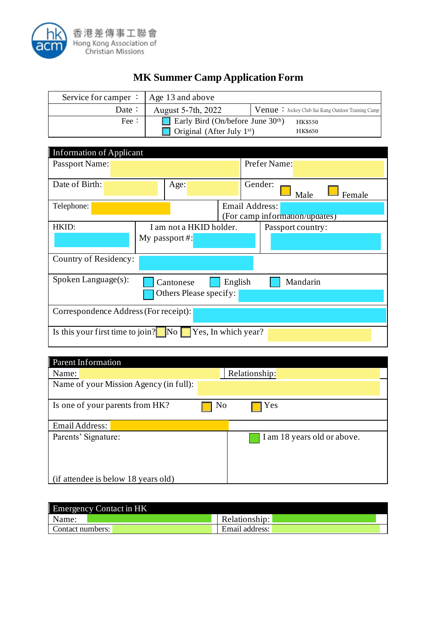

## **MK Summer Camp Application Form**

| Service for camper $\therefore$ Age 13 and above |                                     |                                                           |
|--------------------------------------------------|-------------------------------------|-----------------------------------------------------------|
| Date :                                           | August 5-7th, 2022                  | <b>Venue</b> : Jockey Club Sai Kung Outdoor Training Camp |
| Fee:                                             | Early Bird (On/before June $30th$ ) | <b>HK\$550</b>                                            |
|                                                  | Original (After July $1st$ )        | <b>HK\$650</b>                                            |

| <b>Information of Applicant</b>                                                      |                         |                |                                |        |  |
|--------------------------------------------------------------------------------------|-------------------------|----------------|--------------------------------|--------|--|
| Passport Name:                                                                       |                         |                | Prefer Name:                   |        |  |
| Date of Birth:                                                                       | Age:                    |                | Gender:<br>Male                | Female |  |
| Telephone:                                                                           |                         | Email Address: | (For camp information/updates) |        |  |
| HKID:                                                                                | I am not a HKID holder. |                | Passport country:              |        |  |
|                                                                                      | My passport#:           |                |                                |        |  |
| Country of Residency:                                                                |                         |                |                                |        |  |
| $Spoken Language(s)$ :<br>Mandarin<br>English<br>Cantonese<br>Others Please specify: |                         |                |                                |        |  |
| Correspondence Address (For receipt):                                                |                         |                |                                |        |  |
| Is this your first time to join? $\boxed{\phantom{1}}$ No<br>Yes, In which year?     |                         |                |                                |        |  |

| <b>Parent Information</b>              |               |                             |
|----------------------------------------|---------------|-----------------------------|
| Name:                                  | Relationship: |                             |
| Name of your Mission Agency (in full): |               |                             |
| Is one of your parents from HK?        | No            | Yes                         |
| Email Address:                         |               |                             |
| Parents' Signature:                    |               | I am 18 years old or above. |
| (if attendee is below 18 years old)    |               |                             |

| <b>Emergency Contact in HK</b> |                |
|--------------------------------|----------------|
| Name:                          | Relationship:  |
| Contact numbers:               | Email address: |